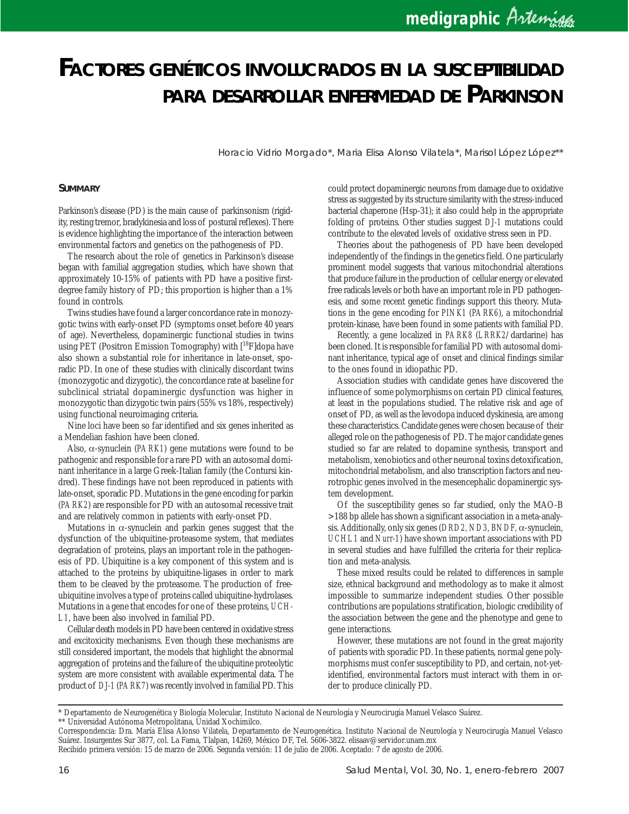# *FACTORES GENÉTICOS INVOLUCRADOS EN LA SUSCEPTIBILIDAD PARA DESARROLLAR ENFERMEDAD DE PARKINSON*

Horacio Vidrio Morgado\*, Maria Elisa Alonso Vilatela\*, Marisol López López\*\*

#### **SUMMARY**

Parkinson's disease (PD) is the main cause of parkinsonism (rigidity, resting tremor, bradykinesia and loss of postural reflexes). There is evidence highlighting the importance of the interaction between environmental factors and genetics on the pathogenesis of PD.

The research about the role of genetics in Parkinson's disease began with familial aggregation studies, which have shown that approximately 10-15% of patients with PD have a positive firstdegree family history of PD; this proportion is higher than a 1% found in controls.

Twins studies have found a larger concordance rate in monozygotic twins with early-onset PD (symptoms onset before 40 years of age). Nevertheless, dopaminergic functional studies in twins using PET (Positron Emission Tomography) with  $[18F]$ dopa have also shown a substantial role for inheritance in late-onset, sporadic PD. In one of these studies with clinically discordant twins (monozygotic and dizygotic), the concordance rate at baseline for subclinical striatal dopaminergic dysfunction was higher in monozygotic than dizygotic twin pairs (55% vs 18%, respectively) using functional neuroimaging criteria.

Nine loci have been so far identified and six genes inherited as a Mendelian fashion have been cloned.

Also, α-synuclein (*PARK1*) gene mutations were found to be pathogenic and responsible for a rare PD with an autosomal dominant inheritance in a large Greek-Italian family (the Contursi kindred). These findings have not been reproduced in patients with late-onset, sporadic PD. Mutations in the gene encoding for parkin (*PARK2*) are responsible for PD with an autosomal recessive trait and are relatively common in patients with early-onset PD.

Mutations in α-synuclein and parkin genes suggest that the dysfunction of the ubiquitine-proteasome system, that mediates degradation of proteins, plays an important role in the pathogenesis of PD. Ubiquitine is a key component of this system and is attached to the proteins by ubiquitine-ligases in order to mark them to be cleaved by the proteasome. The production of freeubiquitine involves a type of proteins called ubiquitine-hydrolases. Mutations in a gene that encodes for one of these proteins, *UCH-L1*, have been also involved in familial PD.

Cellular death models in PD have been centered in oxidative stress and excitoxicity mechanisms. Even though these mechanisms are still considered important, the models that highlight the abnormal aggregation of proteins and the failure of the ubiquitine proteolytic system are more consistent with available experimental data. The product of *DJ-1* (*PARK7*) was recently involved in familial PD. This could protect dopaminergic neurons from damage due to oxidative stress as suggested by its structure similarity with the stress-induced bacterial chaperone (Hsp-31); it also could help in the appropriate folding of proteins. Other studies suggest *DJ-1* mutations could contribute to the elevated levels of oxidative stress seen in PD.

Theories about the pathogenesis of PD have been developed independently of the findings in the genetics field. One particularly prominent model suggests that various mitochondrial alterations that produce failure in the production of cellular energy or elevated free radicals levels or both have an important role in PD pathogenesis, and some recent genetic findings support this theory. Mutations in the gene encoding for *PINK1* (*PARK6*), a mitochondrial protein-kinase, have been found in some patients with familial PD.

Recently, a gene localized in *PARK8* (*LRRK2*/dardarine) has been cloned. It is responsible for familial PD with autosomal dominant inheritance, typical age of onset and clinical findings similar to the ones found in idiopathic PD.

Association studies with candidate genes have discovered the influence of some polymorphisms on certain PD clinical features, at least in the populations studied. The relative risk and age of onset of PD, as well as the levodopa induced dyskinesia, are among these characteristics. Candidate genes were chosen because of their alleged role on the pathogenesis of PD. The major candidate genes studied so far are related to dopamine synthesis, transport and metabolism, xenobiotics and other neuronal toxins detoxification, mitochondrial metabolism, and also transcription factors and neurotrophic genes involved in the mesencephalic dopaminergic system development.

Of the susceptibility genes so far studied, only the MAO-B >188 bp allele has shown a significant association in a meta-analysis. Additionally, only six genes (*DRD2, ND3, BNDF,* α-synuclein, *UCHL1* and *Nurr-1*) have shown important associations with PD in several studies and have fulfilled the criteria for their replication and meta-analysis.

These mixed results could be related to differences in sample size, ethnical background and methodology as to make it almost impossible to summarize independent studies. Other possible contributions are populations stratification, biologic credibility of the association between the gene and the phenotype and gene to gene interactions.

However, these mutations are not found in the great majority of patients with sporadic PD. In these patients, normal gene polymorphisms must confer susceptibility to PD, and certain, not-yetidentified, environmental factors must interact with them in order to produce clinically PD.

<sup>\*</sup> Departamento de Neurogenética y Biología Molecular, Instituto Nacional de Neurología y Neurocirugía Manuel Velasco Suárez.

<sup>\*\*</sup> Universidad Autónoma Metropolitana, Unidad Xochimilco.

Correspondencia: Dra. María Elisa Alonso Vilatela, Departamento de Neurogenética. Instituto Nacional de Neurología y Neurocirugía Manuel Velasco Suárez. Insurgentes Sur 3877, col. La Fama, Tlalpan, 14269, México DF, Tel. 5606-3822. elisaav@servidor.unam.mx Recibido primera versión: 15 de marzo de 2006. Segunda versión: 11 de julio de 2006. Aceptado: 7 de agosto de 2006.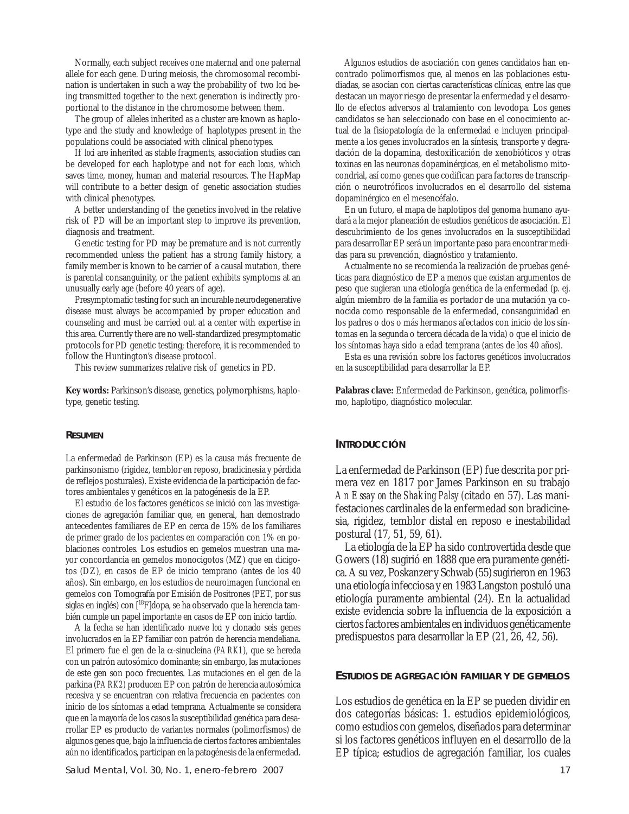Normally, each subject receives one maternal and one paternal allele for each gene. During meiosis, the chromosomal recombination is undertaken in such a way the probability of two *loci* being transmitted together to the next generation is indirectly proportional to the distance in the chromosome between them.

The group of alleles inherited as a cluster are known as haplotype and the study and knowledge of haplotypes present in the populations could be associated with clinical phenotypes.

If *loci* are inherited as stable fragments, association studies can be developed for each haplotype and not for each *locus*, which saves time, money, human and material resources. The HapMap will contribute to a better design of genetic association studies with clinical phenotypes.

A better understanding of the genetics involved in the relative risk of PD will be an important step to improve its prevention, diagnosis and treatment.

Genetic testing for PD may be premature and is not currently recommended unless the patient has a strong family history, a family member is known to be carrier of a causal mutation, there is parental consanguinity, or the patient exhibits symptoms at an unusually early age (before 40 years of age).

Presymptomatic testing for such an incurable neurodegenerative disease must always be accompanied by proper education and counseling and must be carried out at a center with expertise in this area. Currently there are no well-standardized presymptomatic protocols for PD genetic testing; therefore, it is recommended to follow the Huntington's disease protocol.

This review summarizes relative risk of genetics in PD.

**Key words:** Parkinson's disease, genetics, polymorphisms, haplotype, genetic testing.

### **RESUMEN**

La enfermedad de Parkinson (EP) es la causa más frecuente de parkinsonismo (rigidez, temblor en reposo, bradicinesia y pérdida de reflejos posturales). Existe evidencia de la participación de factores ambientales y genéticos en la patogénesis de la EP.

El estudio de los factores genéticos se inició con las investigaciones de agregación familiar que, en general, han demostrado antecedentes familiares de EP en cerca de 15% de los familiares de primer grado de los pacientes en comparación con 1% en poblaciones controles. Los estudios en gemelos muestran una mayor concordancia en gemelos monocigotos (MZ) que en dicigotos (DZ), en casos de EP de inicio temprano (antes de los 40 años). Sin embargo, en los estudios de neuroimagen funcional en gemelos con Tomografía por Emisión de Positrones (PET, por sus siglas en inglés) con [18F]dopa, se ha observado que la herencia también cumple un papel importante en casos de EP con inicio tardío.

A la fecha se han identificado nueve loa y clonado seis genes involucrados en la EP familiar con patrón de herencia mendeliana. El primero fue el gen de la α-sinucleína (*PARK1*), que se hereda con un patrón autosómico dominante; sin embargo, las mutaciones de este gen son poco frecuentes. Las mutaciones en el gen de la parkina (*PARK2)* producen EP con patrón de herencia autosómica recesiva y se encuentran con relativa frecuencia en pacientes con inicio de los síntomas a edad temprana. Actualmente se considera que en la mayoría de los casos la susceptibilidad genética para desarrollar EP es producto de variantes normales (polimorfismos) de algunos genes que, bajo la influencia de ciertos factores ambientales aún no identificados, participan en la patogénesis de la enfermedad.

Algunos estudios de asociación con genes candidatos han encontrado polimorfismos que, al menos en las poblaciones estudiadas, se asocian con ciertas características clínicas, entre las que destacan un mayor riesgo de presentar la enfermedad y el desarrollo de efectos adversos al tratamiento con levodopa. Los genes candidatos se han seleccionado con base en el conocimiento actual de la fisiopatología de la enfermedad e incluyen principalmente a los genes involucrados en la síntesis, transporte y degradación de la dopamina, destoxificación de xenobióticos y otras toxinas en las neuronas dopaminérgicas, en el metabolismo mitocondrial, así como genes que codifican para factores de transcripción o neurotróficos involucrados en el desarrollo del sistema dopaminérgico en el mesencéfalo.

En un futuro, el mapa de haplotipos del genoma humano ayudará a la mejor planeación de estudios genéticos de asociación. El descubrimiento de los genes involucrados en la susceptibilidad para desarrollar EP será un importante paso para encontrar medidas para su prevención, diagnóstico y tratamiento.

Actualmente no se recomienda la realización de pruebas genéticas para diagnóstico de EP a menos que existan argumentos de peso que sugieran una etiología genética de la enfermedad (p. ej. algún miembro de la familia es portador de una mutación ya conocida como responsable de la enfermedad, consanguinidad en los padres o dos o más hermanos afectados con inicio de los síntomas en la segunda o tercera década de la vida) o que el inicio de los síntomas haya sido a edad temprana (antes de los 40 años).

Esta es una revisión sobre los factores genéticos involucrados en la susceptibilidad para desarrollar la EP.

**Palabras clave:** Enfermedad de Parkinson, genética, polimorfismo, haplotipo, diagnóstico molecular.

#### **INTRODUCCIÓN**

La enfermedad de Parkinson (EP) fue descrita por primera vez en 1817 por James Parkinson en su trabajo *An Essay on the Shaking Palsy (*citado en 57*).* Las manifestaciones cardinales de la enfermedad son bradicinesia, rigidez, temblor distal en reposo e inestabilidad postural (17, 51, 59, 61).

La etiología de la EP ha sido controvertida desde que Gowers (18) sugirió en 1888 que era puramente genética. A su vez, Poskanzer y Schwab (55)sugirieron en 1963 una etiología infecciosa y en 1983 Langston postuló una etiología puramente ambiental (24). En la actualidad existe evidencia sobre la influencia de la exposición a ciertos factores ambientales en individuos genéticamente predispuestos para desarrollar la EP (21, 26, 42, 56).

#### **ESTUDIOS DE AGREGACIÓN FAMILIAR Y DE GEMELOS**

Los estudios de genética en la EP se pueden dividir en dos categorías básicas: 1. estudios epidemiológicos, como estudios con gemelos, diseñados para determinar si los factores genéticos influyen en el desarrollo de la EP típica; estudios de agregación familiar, los cuales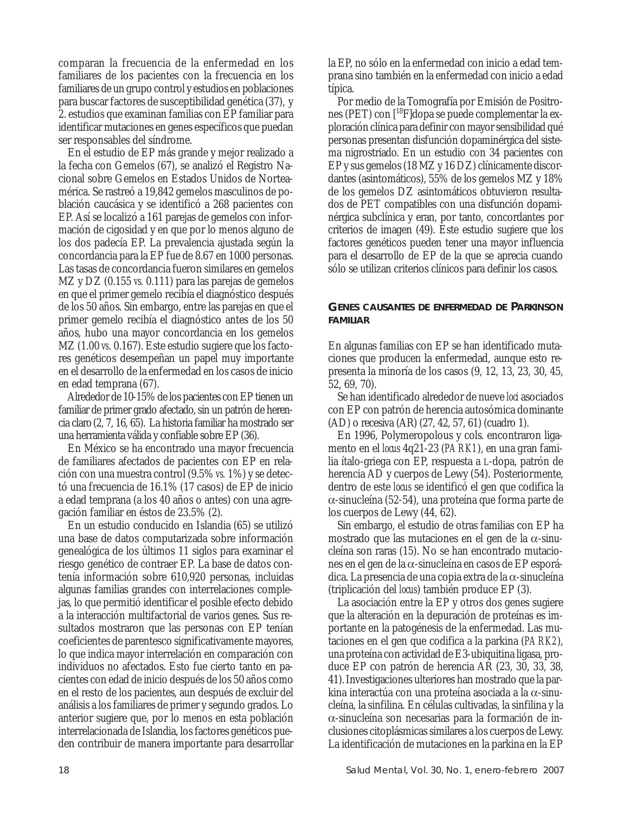comparan la frecuencia de la enfermedad en los familiares de los pacientes con la frecuencia en los familiares de un grupo control y estudios en poblaciones para buscar factores de susceptibilidad genética (37), y 2. estudios que examinan familias con EP familiar para identificar mutaciones en genes específicos que puedan ser responsables del síndrome.

En el estudio de EP más grande y mejor realizado a la fecha con Gemelos (67), se analizó el Registro Nacional sobre Gemelos en Estados Unidos de Norteamérica. Se rastreó a 19,842 gemelos masculinos de población caucásica y se identificó a 268 pacientes con EP. Así se localizó a 161 parejas de gemelos con información de cigosidad y en que por lo menos alguno de los dos padecía EP. La prevalencia ajustada según la concordancia para la EP fue de 8.67 en 1000 personas. Las tasas de concordancia fueron similares en gemelos MZ y DZ (0.155 *vs.* 0.111) para las parejas de gemelos en que el primer gemelo recibía el diagnóstico después de los 50 años. Sin embargo, entre las parejas en que el primer gemelo recibía el diagnóstico antes de los 50 años, hubo una mayor concordancia en los gemelos MZ (1.00 *vs*. 0.167). Este estudio sugiere que los factores genéticos desempeñan un papel muy importante en el desarrollo de la enfermedad en los casos de inicio en edad temprana (67).

Alrededor de 10-15% de los pacientes con EP tienen un familiar de primer grado afectado, sin un patrón de herencia claro(2, 7, 16, 65). La historia familiar ha mostrado ser una herramienta válida y confiable sobre EP (36).

En México se ha encontrado una mayor frecuencia de familiares afectados de pacientes con EP en relación con una muestra control (9.5% *vs.* 1%) y se detectó una frecuencia de 16.1% (17 casos) de EP de inicio a edad temprana (a los 40 años o antes) con una agregación familiar en éstos de 23.5% (2).

En un estudio conducido en Islandia (65) se utilizó una base de datos computarizada sobre información genealógica de los últimos 11 siglos para examinar el riesgo genético de contraer EP. La base de datos contenía información sobre 610,920 personas, incluidas algunas familias grandes con interrelaciones complejas, lo que permitió identificar el posible efecto debido a la interacción multifactorial de varios genes. Sus resultados mostraron que las personas con EP tenían coeficientes de parentesco significativamente mayores, lo que indica mayor interrelación en comparación con individuos no afectados. Esto fue cierto tanto en pacientes con edad de inicio después de los 50 años como en el resto de los pacientes, aun después de excluir del análisis a los familiares de primer y segundo grados. Lo anterior sugiere que, por lo menos en esta población interrelacionada de Islandia, los factores genéticos pueden contribuir de manera importante para desarrollar la EP, no sólo en la enfermedad con inicio a edad temprana sino también en la enfermedad con inicio a edad típica.

Por medio de la Tomografía por Emisión de Positrones (PET) con [18F]dopa se puede complementar la exploración clínica para definir con mayor sensibilidad qué personas presentan disfunción dopaminérgica del sistema nigrostriado. En un estudio con 34 pacientes con EP y sus gemelos (18 MZ y 16 DZ) clínicamente discordantes (asintomáticos), 55% de los gemelos MZ y 18% de los gemelos DZ asintomáticos obtuvieron resultados de PET compatibles con una disfunción dopaminérgica subclínica y eran, por tanto, concordantes por criterios de imagen (49). Este estudio sugiere que los factores genéticos pueden tener una mayor influencia para el desarrollo de EP de la que se aprecia cuando sólo se utilizan criterios clínicos para definir los casos.

**GENES CAUSANTES DE ENFERMEDAD DE PARKINSON FAMILIAR**

En algunas familias con EP se han identificado mutaciones que producen la enfermedad, aunque esto representa la minoría de los casos (9, 12, 13, 23, 30, 45, 52, 69, 70).

Se han identificado alrededor de nueve *loci* asociados con EP con patrón de herencia autosómica dominante (AD) o recesiva (AR) (27, 42, 57, 61) (cuadro 1).

En 1996, Polymeropolous y cols. encontraron ligamento en el *locus* 4q21-23 (*PARK1*), en una gran familia ítalo-griega con EP, respuesta a L-dopa, patrón de herencia AD y cuerpos de Lewy (54). Posteriormente, dentro de este *locus* se identificó el gen que codifica la α-sinucleína (52-54), una proteína que forma parte de los cuerpos de Lewy (44, 62).

Sin embargo, el estudio de otras familias con EP ha mostrado que las mutaciones en el gen de la α-sinucleína son raras (15). No se han encontrado mutaciones en el gen de la α-sinucleína en casos de EP esporádica. La presencia de una copia extra de la α-sinucleína (triplicación del *locus*) también produce EP (3).

La asociación entre la EP y otros dos genes sugiere que la alteración en la depuración de proteínas es importante en la patogénesis de la enfermedad. Las mutaciones en el gen que codifica a la parkina (*PARK2*), una proteína con actividad de E3-ubiquitina ligasa, produce EP con patrón de herencia AR (23, 30, 33, 38, 41).Investigaciones ulteriores han mostrado que la parkina interactúa con una proteína asociada a la α-sinucleína, la sinfilina. En células cultivadas, la sinfilina y la α-sinucleína son necesarias para la formación de inclusiones citoplásmicas similares a los cuerpos de Lewy. La identificación de mutaciones en la parkina en la EP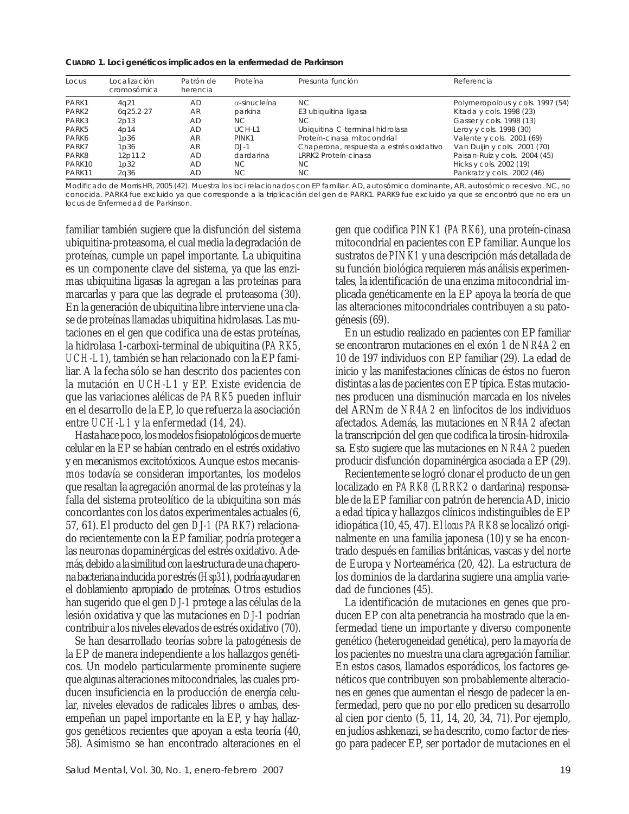**CUADRO 1.** *Loci* **genéticos implicados en la enfermedad de Parkinson**

| Locus  | Localización<br>cromosómica | Patrón de<br>herencia | Proteína             | Presunta función                        | Referencia                       |
|--------|-----------------------------|-----------------------|----------------------|-----------------------------------------|----------------------------------|
| PARK1  | 4q21                        | <b>AD</b>             | $\alpha$ -sinucleína | NC.                                     | Polymeropolous y cols. 1997 (54) |
| PARK2  | 6q25.2-27                   | AR                    | parkina              | E3 ubiquitina ligasa                    | Kitada y cols. 1998 (23)         |
| PARK3  | 2p13                        | AD                    | NC.                  | NC.                                     | Gasser y cols. 1998 (13)         |
| PARK5  | 4p14                        | AD                    | UCH-L1               | Ubiquitina C-terminal hidrolasa         | Leroy y cols. 1998 (30)          |
| PARK6  | 1 <sub>D</sub> 36           | AR                    | PINK1                | Proteín-cinasa mitocondrial             | Valente y cols. 2001 (69)        |
| PARK7  | 1 <sub>D</sub> 36           | AR                    | $D.J-1$              | Chaperona, respuesta a estrés oxidativo | Van Duijin y cols. 2001 (70)     |
| PARK8  | 12p11.2                     | <b>AD</b>             | dardarina            | LRRK2 Proteín-cinasa                    | Paisan-Ruíz y cols. 2004 (45)    |
| PARK10 | 1p32                        | AD                    | NC.                  | NC.                                     | Hicks y cols. 2002 (19)          |
| PARK11 | 2a36                        | AD                    | NC.                  | NC.                                     | Pankratz y cols. 2002 (46)       |

Modificado de Morris HR, 2005 (42). Muestra los loci relacionados con EP familiar. AD, autosómico dominante, AR, autosómico recesivo. NC, no conocida. PARK4 fue excluido ya que corresponde a la triplicación del gen de PARK1. PARK9 fue excluido ya que se encontró que no era un locus de Enfermedad de Parkinson.

familiar también sugiere que la disfunción del sistema ubiquitina-proteasoma, el cual media la degradación de proteínas, cumple un papel importante. La ubiquitina es un componente clave del sistema, ya que las enzimas ubiquitina ligasas la agregan a las proteínas para marcarlas y para que las degrade el proteasoma (30). En la generación de ubiquitina libre interviene una clase de proteínas llamadas ubiquitina hidrolasas. Las mutaciones en el gen que codifica una de estas proteínas, la hidrolasa 1-carboxi-terminal de ubiquitina (*PARK5*, *UCH-L1*), también se han relacionado con la EP familiar. A la fecha sólo se han descrito dos pacientes con la mutación en *UCH-L1* y EP. Existe evidencia de que las variaciones alélicas de *PARK5* pueden influir en el desarrollo de la EP, lo que refuerza la asociación entre *UCH-L1* y la enfermedad (14, 24).

Hasta hace poco, los modelos fisiopatológicos de muerte celular en la EP se habían centrado en el estrés oxidativo y en mecanismos excitotóxicos. Aunque estos mecanismos todavía se consideran importantes, los modelos que resaltan la agregación anormal de las proteínas y la falla del sistema proteolítico de la ubiquitina son más concordantes con los datos experimentales actuales (6, 57, 61). El producto del gen *DJ-1* (*PARK7*) relacionado recientemente con la EP familiar, podría proteger a las neuronas dopaminérgicas del estrés oxidativo. Además, debido a la similitud con la estructura de una chaperona bacteriana inducida por estrés (*Hsp31*), podría ayudar en el doblamiento apropiado de proteínas. Otros estudios han sugerido que el gen *DJ-1* protege a las células de la lesión oxidativa y que las mutaciones en *DJ-1* podrían contribuir a los niveles elevados de estrés oxidativo (70).

Se han desarrollado teorías sobre la patogénesis de la EP de manera independiente a los hallazgos genéticos. Un modelo particularmente prominente sugiere que algunas alteraciones mitocondriales, las cuales producen insuficiencia en la producción de energía celular, niveles elevados de radicales libres o ambas, desempeñan un papel importante en la EP, y hay hallazgos genéticos recientes que apoyan a esta teoría (40, 58). Asimismo se han encontrado alteraciones en el gen que codifica *PINK1* (*PARK6*), una proteín-cinasa mitocondrial en pacientes con EP familiar. Aunque los sustratos de *PINK1* y una descripción más detallada de su función biológica requieren más análisis experimentales, la identificación de una enzima mitocondrial implicada genéticamente en la EP apoya la teoría de que las alteraciones mitocondriales contribuyen a su patogénesis (69).

En un estudio realizado en pacientes con EP familiar se encontraron mutaciones en el exón 1 de *NR4A2* en 10 de 197 individuos con EP familiar (29). La edad de inicio y las manifestaciones clínicas de éstos no fueron distintas a las de pacientes con EP típica. Estas mutaciones producen una disminución marcada en los niveles del ARNm de *NR4A2* en linfocitos de los individuos afectados. Además, las mutaciones en *NR4A2* afectan la transcripción del gen que codifica la tirosín-hidroxilasa. Esto sugiere que las mutaciones en *NR4A2* pueden producir disfunción dopaminérgica asociada a EP (29).

Recientemente se logró clonar el producto de un gen localizado en *PARK8* (*LRRK2* o dardarina) responsable de la EP familiar con patrón de herencia AD, inicio a edad típica y hallazgos clínicos indistinguibles de EP idiopática (10, 45, 47). El *locus PARK*8 se localizó originalmente en una familia japonesa (10) y se ha encontrado después en familias británicas, vascas y del norte de Europa y Norteamérica (20, 42). La estructura de los dominios de la dardarina sugiere una amplia variedad de funciones (45).

La identificación de mutaciones en genes que producen EP con alta penetrancia ha mostrado que la enfermedad tiene un importante y diverso componente genético (heterogeneidad genética), pero la mayoría de los pacientes no muestra una clara agregación familiar. En estos casos, llamados esporádicos, los factores genéticos que contribuyen son probablemente alteraciones en genes que aumentan el riesgo de padecer la enfermedad, pero que no por ello predicen su desarrollo al cien por ciento (5, 11, 14, 20, 34, 71). Por ejemplo, en judíos ashkenazi, se ha descrito, como factor de riesgo para padecer EP, ser portador de mutaciones en el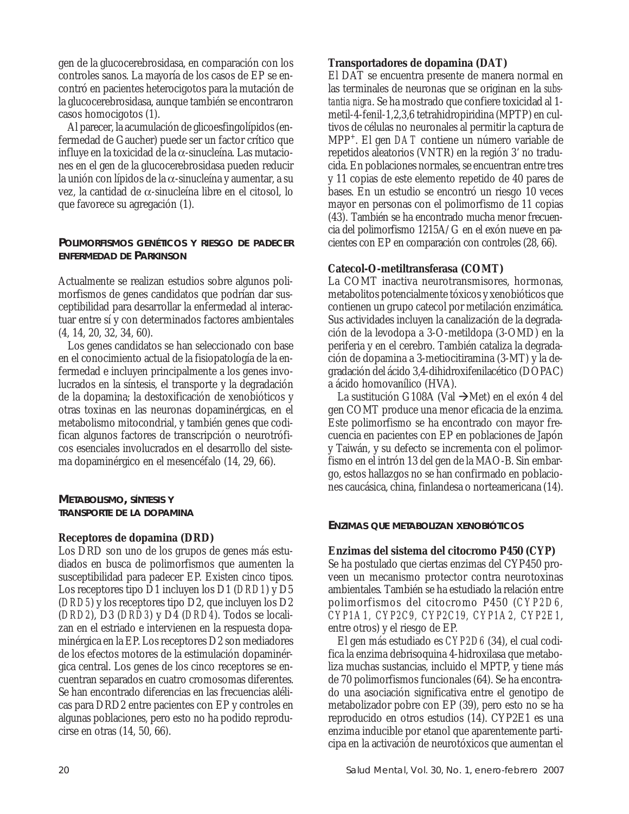gen de la glucocerebrosidasa, en comparación con los controles sanos. La mayoría de los casos de EP se encontró en pacientes heterocigotos para la mutación de la glucocerebrosidasa, aunque también se encontraron casos homocigotos (1).

Al parecer, la acumulación de glicoesfingolípidos (enfermedad de Gaucher) puede ser un factor crítico que influye en la toxicidad de la α-sinucleína. Las mutaciones en el gen de la glucocerebrosidasa pueden reducir la unión con lípidos de la α-sinucleína y aumentar, a su vez, la cantidad de α-sinucleína libre en el citosol, lo que favorece su agregación (1).

# **POLIMORFISMOS GENÉTICOS Y RIESGO DE PADECER ENFERMEDAD DE PARKINSON**

Actualmente se realizan estudios sobre algunos polimorfismos de genes candidatos que podrían dar susceptibilidad para desarrollar la enfermedad al interactuar entre sí y con determinados factores ambientales (4, 14, 20, 32, 34, 60).

Los genes candidatos se han seleccionado con base en el conocimiento actual de la fisiopatología de la enfermedad e incluyen principalmente a los genes involucrados en la síntesis, el transporte y la degradación de la dopamina; la destoxificación de xenobióticos y otras toxinas en las neuronas dopaminérgicas, en el metabolismo mitocondrial, y también genes que codifican algunos factores de transcripción o neurotróficos esenciales involucrados en el desarrollo del sistema dopaminérgico en el mesencéfalo (14, 29, 66).

**METABOLISMO, SÍNTESIS Y TRANSPORTE DE LA DOPAMINA**

## **Receptores de dopamina (DRD)**

Los DRD son uno de los grupos de genes más estudiados en busca de polimorfismos que aumenten la susceptibilidad para padecer EP. Existen cinco tipos. Los receptores tipo D1 incluyen los D1 (*DRD1*) y D5 (*DRD5*) y los receptores tipo D2, que incluyen los D2 (*DRD2*), D3 (*DRD3*) y D4 (*DRD4*). Todos se localizan en el estriado e intervienen en la respuesta dopaminérgica en la EP. Los receptores D2 son mediadores de los efectos motores de la estimulación dopaminérgica central. Los genes de los cinco receptores se encuentran separados en cuatro cromosomas diferentes. Se han encontrado diferencias en las frecuencias alélicas para DRD2 entre pacientes con EP y controles en algunas poblaciones, pero esto no ha podido reproducirse en otras (14, 50, 66).

El DAT se encuentra presente de manera normal en las terminales de neuronas que se originan en la *substantia nigra*. Se ha mostrado que confiere toxicidad al 1 metil-4-fenil-1,2,3,6 tetrahidropiridina (MPTP) en cultivos de células no neuronales al permitir la captura de MPP+. El gen *DAT* contiene un número variable de repetidos aleatorios (VNTR) en la región 3' no traducida. En poblaciones normales, se encuentran entre tres y 11 copias de este elemento repetido de 40 pares de bases. En un estudio se encontró un riesgo 10 veces mayor en personas con el polimorfismo de 11 copias (43). También se ha encontrado mucha menor frecuencia del polimorfismo 1215A/G en el exón nueve en pacientes con EP en comparación con controles (28, 66).

# **Catecol-O-metiltransferasa (COMT)**

La COMT inactiva neurotransmisores, hormonas, metabolitos potencialmente tóxicos y xenobióticos que contienen un grupo catecol por metilación enzimática. Sus actividades incluyen la canalización de la degradación de la levodopa a 3-O-metildopa (3-OMD) en la periferia y en el cerebro. También cataliza la degradación de dopamina a 3-metiocitiramina (3-MT) y la degradación del ácido 3,4-dihidroxifenilacético (DOPAC) a ácido homovanílico (HVA).

La sustitución G108A (Val  $\rightarrow$ Met) en el exón 4 del gen COMT produce una menor eficacia de la enzima. Este polimorfismo se ha encontrado con mayor frecuencia en pacientes con EP en poblaciones de Japón y Taiwán, y su defecto se incrementa con el polimorfismo en el intrón 13 del gen de la MAO-B. Sin embargo, estos hallazgos no se han confirmado en poblaciones caucásica, china, finlandesa o norteamericana (14).

# **ENZIMAS QUE METABOLIZAN XENOBIÓTICOS**

## **Enzimas del sistema del citocromo P450 (CYP)**

Se ha postulado que ciertas enzimas del CYP450 proveen un mecanismo protector contra neurotoxinas ambientales. También se ha estudiado la relación entre polimorfismos del citocromo P450 (*CYP2D6, CYP1A1, CYP2C9, CYP2C19, CYP1A2, CYP2E1*, entre otros) y el riesgo de EP.

El gen más estudiado es *CYP2D6* (34), el cual codifica la enzima debrisoquina 4-hidroxilasa que metaboliza muchas sustancias, incluido el MPTP, y tiene más de 70 polimorfismos funcionales (64). Se ha encontrado una asociación significativa entre el genotipo de metabolizador pobre con EP (39), pero esto no se ha reproducido en otros estudios (14). CYP2E1 es una enzima inducible por etanol que aparentemente participa en la activación de neurotóxicos que aumentan el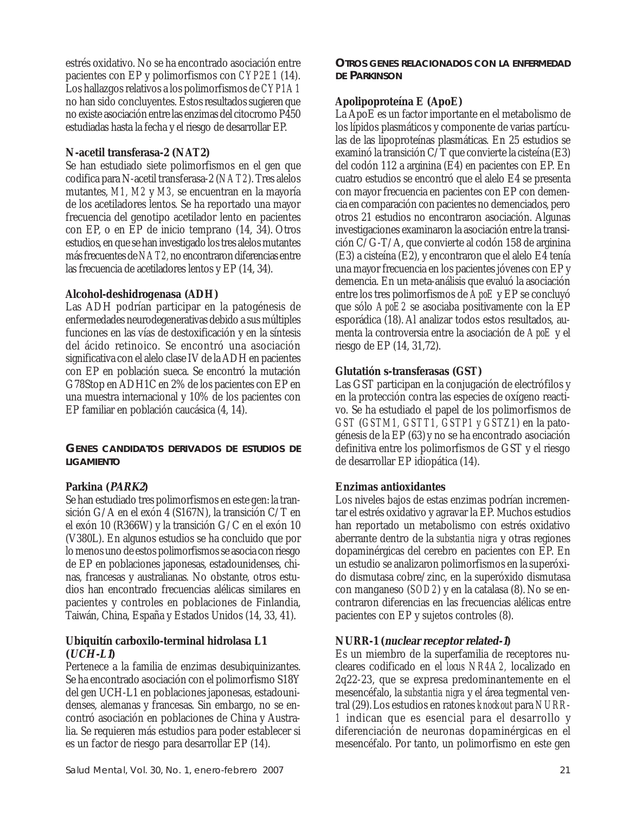estrés oxidativo. No se ha encontrado asociación entre pacientes con EP y polimorfismos con *CYP2E1* (14). Los hallazgos relativos a los polimorfismos de *CYP1A1* no han sido concluyentes. Estos resultados sugieren que no existe asociación entre las enzimas del citocromo P450 estudiadas hasta la fecha y el riesgo de desarrollar EP.

# **N-acetil transferasa-2 (NAT2)**

Se han estudiado siete polimorfismos en el gen que codifica para N-acetil transferasa-2 (*NAT2*). Tres alelos mutantes, *M1, M2* y *M3,* se encuentran en la mayoría de los acetiladores lentos. Se ha reportado una mayor frecuencia del genotipo acetilador lento en pacientes con EP, o en EP de inicio temprano (14, 34). Otros estudios, en que se han investigado los tres alelos mutantes más frecuentes de *NAT2,* no encontraron diferencias entre las frecuencia de acetiladores lentos y EP (14, 34).

# **Alcohol-deshidrogenasa (ADH)**

Las ADH podrían participar en la patogénesis de enfermedades neurodegenerativas debido a sus múltiples funciones en las vías de destoxificación y en la síntesis del ácido retinoico. Se encontró una asociación significativa con el alelo clase IV de la ADH en pacientes con EP en población sueca. Se encontró la mutación G78Stop en ADH1C en 2% de los pacientes con EP en una muestra internacional y 10% de los pacientes con EP familiar en población caucásica (4, 14).

**GENES CANDIDATOS DERIVADOS DE ESTUDIOS DE LIGAMIENTO**

# **Parkina (PARK2)**

Se han estudiado tres polimorfismos en este gen: la transición G/A en el exón 4 (S167N), la transición C/T en el exón 10 (R366W) y la transición G/C en el exón 10 (V380L). En algunos estudios se ha concluido que por lo menos uno de estos polimorfismos se asocia con riesgo de EP en poblaciones japonesas, estadounidenses, chinas, francesas y australianas. No obstante, otros estudios han encontrado frecuencias alélicas similares en pacientes y controles en poblaciones de Finlandia, Taiwán, China, España y Estados Unidos (14, 33, 41).

## **Ubiquitín carboxilo-terminal hidrolasa L1 (UCH-L1)**

Pertenece a la familia de enzimas desubiquinizantes. Se ha encontrado asociación con el polimorfismo S18Y del gen UCH-L1 en poblaciones japonesas, estadounidenses, alemanas y francesas. Sin embargo, no se encontró asociación en poblaciones de China y Australia. Se requieren más estudios para poder establecer si es un factor de riesgo para desarrollar EP (14).

**OTROS GENES RELACIONADOS CON LA ENFERMEDAD DE PARKINSON**

# **Apolipoproteína E (ApoE)**

La ApoE es un factor importante en el metabolismo de los lípidos plasmáticos y componente de varias partículas de las lipoproteínas plasmáticas. En 25 estudios se examinó la transición C/T que convierte la cisteína (E3) del codón 112 a arginina (E4) en pacientes con EP. En cuatro estudios se encontró que el alelo E4 se presenta con mayor frecuencia en pacientes con EP con demencia en comparación con pacientes no demenciados, pero otros 21 estudios no encontraron asociación. Algunas investigaciones examinaron la asociación entre la transición C/G-T/A, que convierte al codón 158 de arginina (E3) a cisteína (E2), y encontraron que el alelo E4 tenía una mayor frecuencia en los pacientes jóvenes con EP y demencia. En un meta-análisis que evaluó la asociación entre los tres polimorfismos de *ApoE* y EP se concluyó que sólo *ApoE2* se asociaba positivamente con la EP esporádica (18). Al analizar todos estos resultados, aumenta la controversia entre la asociación de *ApoE* y el riesgo de EP (14, 31,72).

# **Glutatión s-transferasas (GST)**

Las GST participan en la conjugación de electrófilos y en la protección contra las especies de oxígeno reactivo. Se ha estudiado el papel de los polimorfismos de *GST* (*GSTM1, GSTT1, GSTP1 y GSTZ1*) en la patogénesis de la EP (63) y no se ha encontrado asociación definitiva entre los polimorfismos de GST y el riesgo de desarrollar EP idiopática (14).

# **Enzimas antioxidantes**

Los niveles bajos de estas enzimas podrían incrementar el estrés oxidativo y agravar la EP. Muchos estudios han reportado un metabolismo con estrés oxidativo aberrante dentro de la *substantia nigra* y otras regiones dopaminérgicas del cerebro en pacientes con EP. En un estudio se analizaron polimorfismos en la superóxido dismutasa cobre/zinc, en la superóxido dismutasa con manganeso (*SOD2*) y en la catalasa (8). No se encontraron diferencias en las frecuencias alélicas entre pacientes con EP y sujetos controles (8).

# **NURR-1 (nuclear receptor related-1)**

Es un miembro de la superfamilia de receptores nucleares codificado en el *locus NR4A2,* localizado en 2q22-23, que se expresa predominantemente en el mesencéfalo, la *substantia nigra* y el área tegmental ventral (29).Los estudios en ratones *knockout* para *NURR*-*1* indican que es esencial para el desarrollo y diferenciación de neuronas dopaminérgicas en el mesencéfalo. Por tanto, un polimorfismo en este gen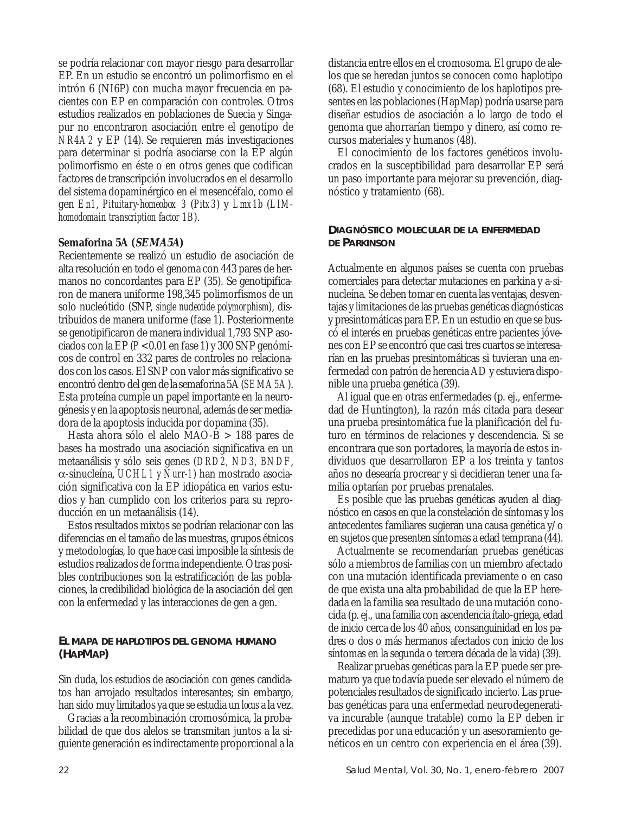se podría relacionar con mayor riesgo para desarrollar EP. En un estudio se encontró un polimorfismo en el intrón 6 (NI6P) con mucha mayor frecuencia en pacientes con EP en comparación con controles. Otros estudios realizados en poblaciones de Suecia y Singapur no encontraron asociación entre el genotipo de *NR4A2* y EP (14). Se requieren más investigaciones para determinar si podría asociarse con la EP algún polimorfismo en éste o en otros genes que codifican factores de transcripción involucrados en el desarrollo del sistema dopaminérgico en el mesencéfalo, como el gen *En1*, *Pituitary-homeobox 3* (*Pitx3*) y *Lmx1b* (*LIMhomodomain transcription factor 1B*).

## **Semaforina 5A (SEMA5A)**

Recientemente se realizó un estudio de asociación de alta resolución en todo el genoma con 443 pares de hermanos no concordantes para EP (35). Se genotipificaron de manera uniforme 198,345 polimorfismos de un solo nucleótido (SNP, *single nucleotide polymorphism*), distribuidos de manera uniforme (fase 1). Posteriormente se genotipificaron de manera individual 1,793 SNP asociados con la EP (*P* <0.01 en fase 1) y 300 SNP genómicos de control en 332 pares de controles no relacionados con los casos. El SNP con valor más significativo se encontró dentro del gen de la semaforina 5A (*SEMA5A*). Esta proteína cumple un papel importante en la neurogénesis y en la apoptosis neuronal, además de ser mediadora de la apoptosis inducida por dopamina (35).

Hasta ahora sólo el alelo MAO-B > 188 pares de bases ha mostrado una asociación significativa en un metaanálisis y sólo seis genes (*DRD2, ND3, BNDF*, α-sinucleína, *UCHL1 y Nurr-1*) han mostrado asociación significativa con la EP idiopática en varios estudios y han cumplido con los criterios para su reproducción en un metaanálisis (14).

Estos resultados mixtos se podrían relacionar con las diferencias en el tamaño de las muestras, grupos étnicos y metodologías, lo que hace casi imposible la síntesis de estudios realizados de forma independiente. Otras posibles contribuciones son la estratificación de las poblaciones, la credibilidad biológica de la asociación del gen con la enfermedad y las interacciones de gen a gen.

## **EL MAPA DE HAPLOTIPOS DEL GENOMA HUMANO (HAPMAP)**

Sin duda, los estudios de asociación con genes candidatos han arrojado resultados interesantes; sin embargo, han sido muy limitados ya que se estudia un *locus* a la vez.

Gracias a la recombinación cromosómica, la probabilidad de que dos alelos se transmitan juntos a la siguiente generación es indirectamente proporcional a la distancia entre ellos en el cromosoma. El grupo de alelos que se heredan juntos se conocen como haplotipo (68). El estudio y conocimiento de los haplotipos presentes en las poblaciones (HapMap) podría usarse para diseñar estudios de asociación a lo largo de todo el genoma que ahorrarían tiempo y dinero, así como recursos materiales y humanos (48).

El conocimiento de los factores genéticos involucrados en la susceptibilidad para desarrollar EP será un paso importante para mejorar su prevención, diagnóstico y tratamiento (68).

## **DIAGNÓSTICO MOLECULAR DE LA ENFERMEDAD DE PARKINSON**

Actualmente en algunos países se cuenta con pruebas comerciales para detectar mutaciones en parkina y a-sinucleína. Se deben tomar en cuenta las ventajas, desventajas y limitaciones de las pruebas genéticas diagnósticas y presintomáticas para EP. En un estudio en que se buscó el interés en pruebas genéticas entre pacientes jóvenes con EP se encontró que casi tres cuartos se interesarían en las pruebas presintomáticas si tuvieran una enfermedad con patrón de herencia AD y estuviera disponible una prueba genética (39).

Al igual que en otras enfermedades (p. ej., enfermedad de Huntington), la razón más citada para desear una prueba presintomática fue la planificación del futuro en términos de relaciones y descendencia. Si se encontrara que son portadores, la mayoría de estos individuos que desarrollaron EP a los treinta y tantos años no desearía procrear y si decidieran tener una familia optarían por pruebas prenatales.

Es posible que las pruebas genéticas ayuden al diagnóstico en casos en que la constelación de síntomas y los antecedentes familiares sugieran una causa genética y/o en sujetos que presenten síntomas a edad temprana (44).

Actualmente se recomendarían pruebas genéticas sólo a miembros de familias con un miembro afectado con una mutación identificada previamente o en caso de que exista una alta probabilidad de que la EP heredada en la familia sea resultado de una mutación conocida (p. ej., una familia con ascendencia ítalo-griega, edad de inicio cerca de los 40 años, consanguinidad en los padres o dos o más hermanos afectados con inicio de los síntomas en la segunda o tercera década de la vida) (39).

Realizar pruebas genéticas para la EP puede ser prematuro ya que todavía puede ser elevado el número de potenciales resultados de significado incierto. Las pruebas genéticas para una enfermedad neurodegenerativa incurable (aunque tratable) como la EP deben ir precedidas por una educación y un asesoramiento genéticos en un centro con experiencia en el área (39).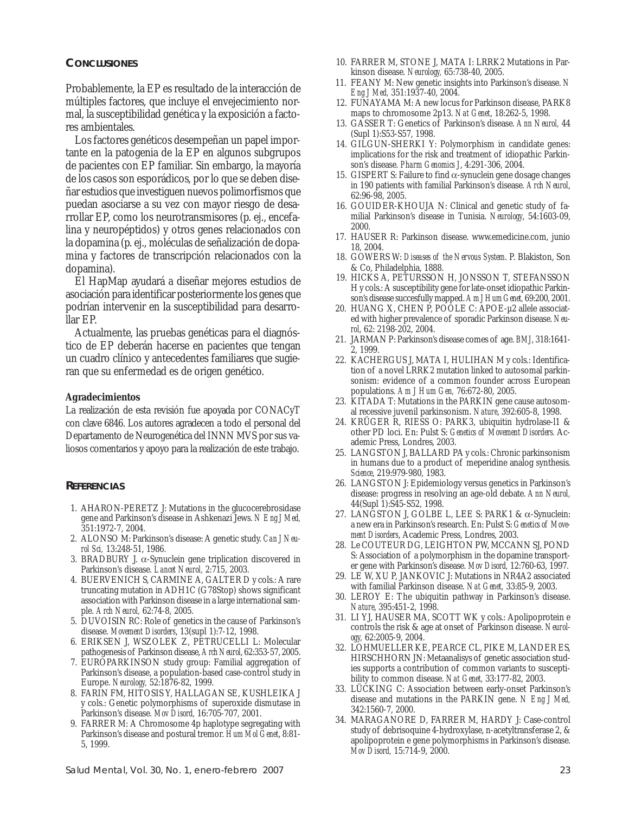### **CONCLUSIONES**

Probablemente, la EP es resultado de la interacción de múltiples factores, que incluye el envejecimiento normal, la susceptibilidad genética y la exposición a factores ambientales.

Los factores genéticos desempeñan un papel importante en la patogenia de la EP en algunos subgrupos de pacientes con EP familiar. Sin embargo, la mayoría de los casos son esporádicos, por lo que se deben diseñar estudios que investiguen nuevos polimorfismos que puedan asociarse a su vez con mayor riesgo de desarrollar EP, como los neurotransmisores (p. ej., encefalina y neuropéptidos) y otros genes relacionados con la dopamina (p. ej., moléculas de señalización de dopamina y factores de transcripción relacionados con la dopamina).

El HapMap ayudará a diseñar mejores estudios de asociación para identificar posteriormente los genes que podrían intervenir en la susceptibilidad para desarrollar EP.

Actualmente, las pruebas genéticas para el diagnóstico de EP deberán hacerse en pacientes que tengan un cuadro clínico y antecedentes familiares que sugieran que su enfermedad es de origen genético.

#### **Agradecimientos**

La realización de esta revisión fue apoyada por CONACyT con clave 6846. Los autores agradecen a todo el personal del Departamento de Neurogenética del INNN MVS por sus valiosos comentarios y apoyo para la realización de este trabajo.

### **REFERENCIAS**

- 1. AHARON-PERETZ J: Mutations in the glucocerebrosidase gene and Parkinson's disease in Ashkenazi Jews. *N Eng J Med,* 351:1972-7, 2004.
- 2. ALONSO M: Parkinson's disease: A genetic study. *Can J Neurol Sci,* 13:248-51, 1986.
- 3. BRADBURY J. α-Synuclein gene triplication discovered in Parkinson's disease. *Lancet Neurol,* 2:715, 2003.
- 4. BUERVENICH S, CARMINE A, GALTER D y cols.: A rare truncating mutation in ADH1C (G78Stop) shows significant association with Parkinson disease in a large international sample. *Arch Neurol,* 62:74-8, 2005.
- 5. DUVOISIN RC: Role of genetics in the cause of Parkinson's disease. *Movement Disorders*, 13(supl 1):7-12, 1998.
- 6. ERIKSEN J, WSZOLEK Z, PETRUCELLI L: Molecular pathogenesis of Parkinson disease, *Arch Neurol*, 62:353-57, 2005.
- 7. EUROPARKINSON study group: Familial aggregation of Parkinson's disease, a population-based case-control study in Europe. *Neurology,* 52:1876-82, 1999.
- 8. FARIN FM, HITOSIS Y, HALLAGAN SE, KUSHLEIKA J y cols.: Genetic polymorphisms of superoxide dismutase in Parkinson's disease. *Mov Disord,* 16:705-707, 2001.
- 9. FARRER M: A Chromosome 4p haplotype segregating with Parkinson's disease and postural tremor. *Hum Mol Genet*, 8:81- 5, 1999.
- 10. FARRER M, STONE J, MATA I: LRRK2 Mutations in Parkinson disease. *Neurology,* 65:738-40, 2005.
- 11. FEANY M: New genetic insights into Parkinson's disease. *N Eng J Med,* 351:1937-40, 2004.
- 12. FUNAYAMA M: A new locus for Parkinson disease, PARK8 maps to chromosome 2p13. *Nat Genet*, 18:262-5, 1998.
- 13. GASSER T: Genetics of Parkinson's disease. *Ann Neurol,* 44 (Supl 1):S53-S57, 1998.
- 14. GILGUN-SHERKI Y: Polymorphism in candidate genes: implications for the risk and treatment of idiopathic Parkinson's disease. *Pharm Genomics J*, 4:291-306, 2004.
- 15. GISPERT S: Failure to find α-synuclein gene dosage changes in 190 patients with familial Parkinson's disease. *Arch Neurol*, 62:96-98, 2005.
- 16. GOUIDER-KHOUJA N: Clinical and genetic study of familial Parkinson's disease in Tunisia. *Neurology*, 54:1603-09, 2000.
- 17. HAUSER R: Parkinson disease. www.emedicine.com, junio 18, 2004.
- 18. GOWERS W: *Diseases of the Nervous System*. P. Blakiston, Son & Co, Philadelphia, 1888.
- 19. HICKS A, PETURSSON H, JONSSON T, STEFANSSON H y cols.: A susceptibility gene for late-onset idiopathic Parkinson's disease succesfully mapped. *Am J Hum Genet,* 69:200, 2001.
- 20. HUANG X, CHEN P, POOLE C: APOE-µ2 allele associated with higher prevalence of sporadic Parkinson disease. *Neurol*, 62: 2198-202, 2004.
- 21. JARMAN P: Parkinson's disease comes of age. *BMJ*, 318:1641- 2, 1999.
- 22. KACHERGUS J, MATA I, HULIHAN M y cols.: Identification of a novel LRRK2 mutation linked to autosomal parkinsonism: evidence of a common founder across European populations. *Am J Hum Gen,* 76:672-80, 2005.
- 23. KITADA T: Mutations in the PARKIN gene cause autosomal recessive juvenil parkinsonism. *Nature*, 392:605-8, 1998.
- 24. KRÜGER R, RIESS O: PARK3, ubiquitin hydrolase-l1 & other PD loci. En: Pulst S: *Genetics of Movement Disorders.* Academic Press, Londres, 2003.
- 25. LANGSTON J, BALLARD PA y cols.: Chronic parkinsonism in humans due to a product of meperidine analog synthesis. *Science*, 219:979-980, 1983.
- 26. LANGSTON J: Epidemiology versus genetics in Parkinson's disease: progress in resolving an age-old debate. *Ann Neurol,* 44(Supl 1):S45-S52, 1998.
- 27. LANGSTON J, GOLBE L, LEE S: PARK1 & α-Synuclein: a new era in Parkinson's research. En: Pulst S: *Genetics of Movement Disorders*, Academic Press, Londres, 2003.
- 28. Le COUTEUR DG, LEIGHTON PW, MCCANN SJ, POND S: Association of a polymorphism in the dopamine transporter gene with Parkinson's disease. *Mov Disord,* 12:760-63, 1997.
- 29. LE W, XU P, JANKOVIC J: Mutations in NR4A2 associated with familial Parkinson disease. *Nat Genet,* 33:85-9, 2003.
- 30. LEROY E: The ubiquitin pathway in Parkinson's disease. *Nature*, 395:451-2, 1998.
- 31. LI YJ, HAUSER MA, SCOTT WK y cols.: Apolipoprotein e controls the risk & age at onset of Parkinson disease. *Neurology,* 62:2005-9, 2004.
- 32. LOHMUELLER KE, PEARCE CL, PIKE M, LANDER ES, HIRSCHHORN JN: Metaanalisys of genetic association studies supports a contribution of common variants to susceptibility to common disease. *Nat Genet,* 33:177-82, 2003.
- 33. LÜCKING C: Association between early-onset Parkinson's disease and mutations in the PARKIN gene. *N Eng J Med,* 342:1560-7, 2000.
- 34. MARAGANORE D, FARRER M, HARDY J: Case-control study of debrisoquine 4-hydroxylase, n-acetyltransferase 2, & apolipoprotein e gene polymorphisms in Parkinson's disease. *Mov Disord,* 15:714-9, 2000.